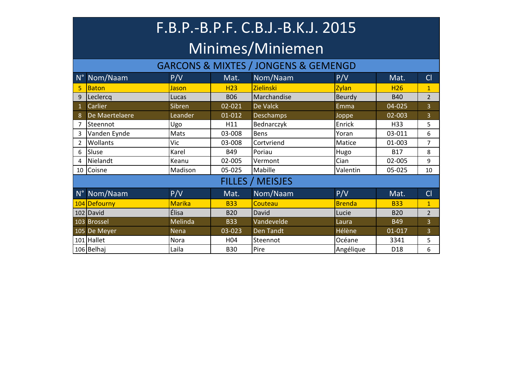### F.B.P.-B.P.F. C.B.J.-B.K.J. 2015 Minimes/Miniemen

#### GARCONS & MIXTES / JONGENS & GEMENGD

|    | N° Nom/Naam     | P/V           | Mat.            | Nom/Naam                | P/V           | Mat.            | CI             |
|----|-----------------|---------------|-----------------|-------------------------|---------------|-----------------|----------------|
| 5. | <b>Baton</b>    | Jason         | H <sub>23</sub> | <b>Zielinski</b>        | Zylan         | <b>H26</b>      | $\mathbf{1}$   |
| 9  | Leclercq        | Lucas         | <b>B06</b>      | Marchandise             | Beurdy        | <b>B40</b>      | $\overline{2}$ |
|    | Carlier         | Sibren        | 02-021          | De Valck                | Emma          | 04-025          | $\overline{3}$ |
|    | De Maertelaere  | Leander       | 01-012          | <b>Deschamps</b>        | Joppe         | 02-003          | $\overline{3}$ |
|    | Steennot        | Ugo           | H11             | Bednarczyk              | Enrick        | H33             | 5              |
|    | Vanden Eynde    | Mats          | 03-008          | Bens                    | Yoran         | 03-011          | 6              |
|    | <b>Wollants</b> | Vic           | 03-008          | Cortvriend              | Matice        | 01-003          | $\overline{7}$ |
| 6  | Sluse           | Karel         | <b>B49</b>      | Poriau                  | Hugo          | <b>B17</b>      | 8              |
| 4  | Nielandt        | Keanu         | 02-005          | Vermont                 | Cian          | 02-005          | 9              |
|    | 10 Coisne       | Madison       | 05-025          | Mabille                 | Valentin      | 05-025          | 10             |
|    |                 |               |                 | <b>FILLES / MEISJES</b> |               |                 |                |
|    | N° Nom/Naam     | P/V           | Mat.            | Nom/Naam                | P/V           | Mat.            | Cl             |
|    | 104 Defourny    | <b>Marika</b> | <b>B33</b>      | Couteau                 | <b>Brenda</b> | <b>B33</b>      | $\mathbf{1}$   |
|    | 102 David       | <b>Élisa</b>  | <b>B20</b>      | David                   | Lucie         | <b>B20</b>      | $\overline{2}$ |
|    | 103 Brossel     | Melinda       | <b>B33</b>      | Vandevelde              | Laura         | <b>B49</b>      | $\overline{3}$ |
|    | 105 De Meyer    | Nena          | 03-023          | Den Tandt               | <b>Hélène</b> | 01-017          | $\overline{3}$ |
|    | 101 Hallet      | Nora          | H <sub>04</sub> | Steennot                | Océane        | 3341            | 5              |
|    | 106 Belhaj      | Laila         | <b>B30</b>      | Pire                    | Angélique     | D <sub>18</sub> | 6              |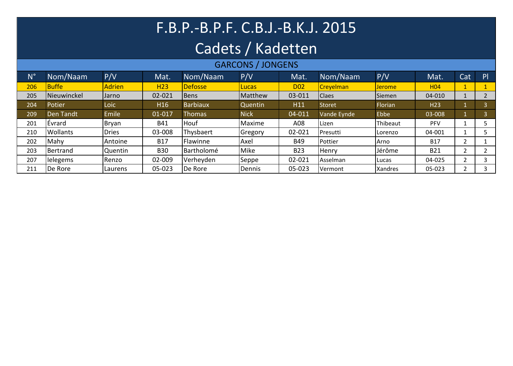# F.B.P.-B.P.F. C.B.J.-B.K.J. 2015

### Cadets / Kadetten

#### GARCONS / JONGENS

| $N^{\circ}$ | Nom/Naam        | P/V           | Mat.            | Nom/Naam        | P/V             | Mat.       | Nom/Naam          | P/V            | Mat.            | Cat                      | P |
|-------------|-----------------|---------------|-----------------|-----------------|-----------------|------------|-------------------|----------------|-----------------|--------------------------|---|
| 206         | Buffe           | <b>Adrien</b> | H <sub>23</sub> | <b>Defosse</b>  | <b>Lucas</b>    | <b>D02</b> | <b>Creyelman</b>  | <b>Jerome</b>  | H <sub>04</sub> |                          |   |
| 205         | Nieuwinckel     | Jarno         | 02-021          | <b>I</b> Bens   | Matthew         | 03-011     | <b>Claes</b>      | Siemen         | 04-010          |                          |   |
| 204         | Potier          | Loic          | H <sub>16</sub> | <b>Barbiaux</b> | Quentin         | H11        | <b>Storet</b>     | Florian        | H <sub>23</sub> |                          |   |
| 209         | Den Tandt       | Emile         | 01-017          | <b>Thomas</b>   | <b>Nick</b>     | 04-011     | Vande Eynde       | Ebbe           | 03-008          |                          |   |
| 201         | Évrard          | Bryan         | <b>B41</b>      | Houf            | Maxime          | A08        | Lizen             | Thibeaut       | <b>PFV</b>      |                          |   |
| 210         | <b>Wollants</b> | <b>Dries</b>  | 03-008          | Thysbaert       | <b>IGregory</b> | 02-021     | Presutti          | Lorenzo        | 04-001          |                          |   |
| 202         | Mahy            | Antoine       | <b>B17</b>      | Flawinne        | Axel            | <b>B49</b> | Pottier           | <b>Arno</b>    | <b>B17</b>      | ∍                        |   |
| 203         | Bertrand        | Quentin       | <b>B30</b>      | Bartholomé      | Mike            | <b>B23</b> | Henry             | Jérôme         | <b>B21</b>      | $\overline{\phantom{0}}$ |   |
| 207         | lelegems        | Renzo         | 02-009          | Verheyden       | Seppe           | 02-021     | <b>I</b> Asselman | <b>I</b> Lucas | 04-025          | ົ<br>∠                   |   |
| 211         | De Rore         | Laurens       | 05-023          | De Rore         | Dennis          | 05-023     | Vermont           | Xandres        | 05-023          | ∍<br>∠                   | 3 |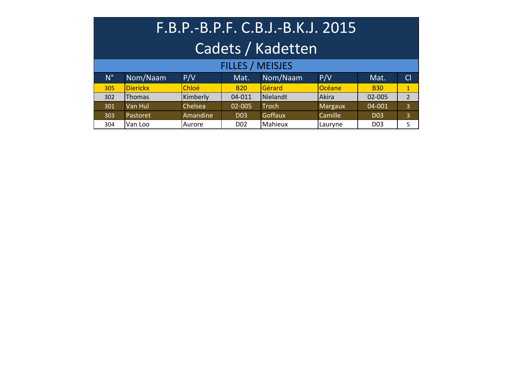| F.B.P.-B.P.F. C.B.J.-B.K.J. 2015 |                 |          |                  |                |         |                 |                |  |  |  |  |
|----------------------------------|-----------------|----------|------------------|----------------|---------|-----------------|----------------|--|--|--|--|
| Cadets / Kadetten                |                 |          |                  |                |         |                 |                |  |  |  |  |
| <b>FILLES / MEISJES</b>          |                 |          |                  |                |         |                 |                |  |  |  |  |
| $N^{\circ}$                      | Nom/Naam        | P/V      | Mat.             | Nom/Naam       | P/V     | Mat.            | Cl             |  |  |  |  |
| 305                              | <b>Dierickx</b> | Chloé    | <b>B20</b>       | Gérard         | Océane  | <b>B30</b>      | $\mathbf{1}$   |  |  |  |  |
| 302                              | Thomas          | Kimberly | 04-011           | Nielandt       | Akira   | 02-005          | $\overline{2}$ |  |  |  |  |
| 301                              | Van Hul         | Chelsea  | $02 - 005$       | <b>Troch</b>   | Margaux | 04-001          | 3              |  |  |  |  |
| 303                              | Pastoret        | Amandine | <b>D03</b>       | <b>Goffaux</b> | Camille | D <sub>03</sub> | 3              |  |  |  |  |
| 304                              | Van Loo         | Aurore   | D <sub>0</sub> 2 | Mahieux        | Lauryne | D <sub>03</sub> | 5              |  |  |  |  |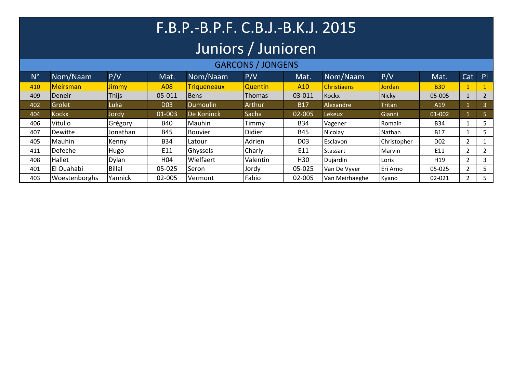## F.B.P.-B.P.F. C.B.J.-B.K.J. 2015

### Juniors / Junioren

#### GARCONS / JONGENS

| $N^{\circ}$ | Nom/Naam        | P/V           | Mat.            | Nom/Naam        | P/V           | Mat.            | Nom/Naam           | P/V           | Mat.             | Cat | P |
|-------------|-----------------|---------------|-----------------|-----------------|---------------|-----------------|--------------------|---------------|------------------|-----|---|
| 410         | <b>Meirsman</b> | <b>Jimmy</b>  | A08             | Triqueneaux     | Quentin       | A <sub>10</sub> | <b>Christiaens</b> | Jordan        | <b>B30</b>       |     |   |
| 409         | Deneir          | <b>Thijs</b>  | 05-011          | Bens            | <b>Thomas</b> | 03-011          | Kockx              | Nicky         | 05-005           |     | 2 |
| 402         | Grolet          | Luka          | <b>D03</b>      | <b>Dumoulin</b> | Arthur        | <b>B17</b>      | Alexandre          | <b>Tritan</b> | A19              |     | 3 |
| 404         | <b>Kockx</b>    | Jordy         | 01-003          | De Koninck      | Sacha         | 02-005          | Lekeux             | Gianni        | 01-002           |     |   |
| 406         | <b>Vitullo</b>  | Grégory       | <b>B40</b>      | Mauhin          | Timmy         | <b>B34</b>      | Vagener            | Romain        | <b>B34</b>       |     |   |
| 407         | Dewitte         | Jonathan      | <b>B45</b>      | Bouvier         | Didier        | <b>B45</b>      | Nicolay            | Nathan        | <b>B17</b>       |     |   |
| 405         | Mauhin          | Kenny         | <b>B34</b>      | Latour          | Adrien        | D <sub>03</sub> | Esclavon           | Christopher   | D <sub>0</sub> 2 |     |   |
| 411         | Defeche         | Hugo          | E11             | Ghyssels        | Charly        | E11             | Stassart           | Marvin        | E11              |     |   |
| 408         | <b>Hallet</b>   | <b>Dylan</b>  | H <sub>04</sub> | Wielfaert       | Valentin      | H <sub>30</sub> | Dujardin           | Loris         | H <sub>19</sub>  |     | 3 |
| 401         | El Ouahabi      | <b>Billal</b> | 05-025          | Seron           | Jordy         | 05-025          | Van De Vyver       | Eri Arno      | 05-025           |     |   |
| 403         | Woestenborghs   | Yannick       | 02-005          | Vermont         | Fabio         | 02-005          | Van Meirhaeghe     | Kyano         | 02-021           |     |   |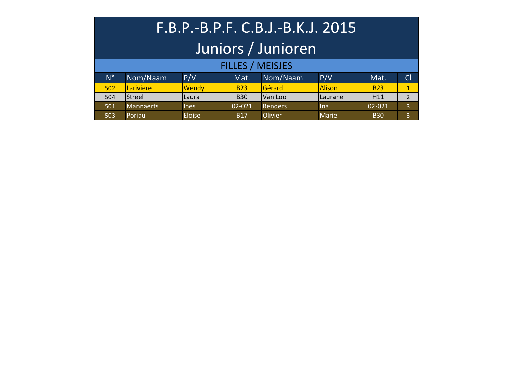| F.B.P.-B.P.F. C.B.J.-B.K.J. 2015 |                  |             |                         |                |               |            |                |  |  |  |
|----------------------------------|------------------|-------------|-------------------------|----------------|---------------|------------|----------------|--|--|--|
| Juniors / Junioren               |                  |             |                         |                |               |            |                |  |  |  |
|                                  |                  |             | <b>FILLES / MEISJES</b> |                |               |            |                |  |  |  |
| $N^{\circ}$                      | Nom/Naam         | P/V         | Mat.                    | Nom/Naam       | P/V           | Mat.       | CI             |  |  |  |
| 502                              | Lariviere        | Wendy       | <b>B23</b>              | Gérard         | <b>Alison</b> | <b>B23</b> | $\mathbf{1}$   |  |  |  |
| 504                              | Streel           | Laura       | <b>B30</b>              | Van Loo        | Laurane       | H11        | $\overline{2}$ |  |  |  |
| 501                              | <b>Mannaerts</b> | <b>lnes</b> | 02-021                  | <b>Renders</b> | <b>Ina</b>    | 02-021     | $\overline{3}$ |  |  |  |
|                                  |                  |             |                         |                |               |            |                |  |  |  |

503 Poriau Eloise B17 Olivier Marie B30 3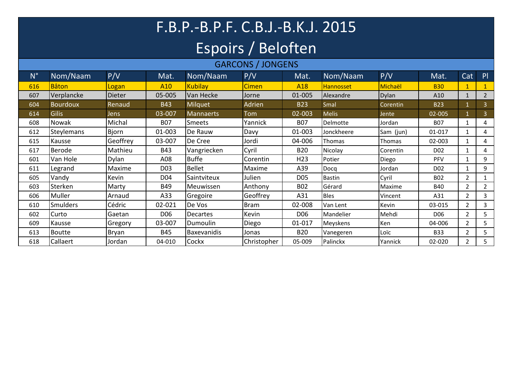## F.B.P.-B.P.F. C.B.J.-B.K.J. 2015 Espoirs / Beloften

### GARCONS / JONGENS

| $N^{\circ}$ | Nom/Naam          | P/V          | Mat.            | Nom/Naam           | P/V          | Mat.            | Nom/Naam      | P/V          | Mat.             | Cat            | P              |
|-------------|-------------------|--------------|-----------------|--------------------|--------------|-----------------|---------------|--------------|------------------|----------------|----------------|
| 616         | <b>B</b> âton     | Logan        | A10             | <b>Kubilav</b>     | <b>Cimen</b> | A <sub>18</sub> | Hannosset     | Michaël      | <b>B30</b>       |                |                |
| 607         | Verplancke        | Dieter       | 05-005          | Van Hecke          | Jorne        | 01-005          | Alexandre     | <b>Dylan</b> | A10              | $\mathbf{1}$   | $\overline{2}$ |
| 604         | <b>Bourdoux</b>   | Renaud       | <b>B43</b>      | <b>Milquet</b>     | Adrien       | <b>B23</b>      | Smal          | Corentin     | <b>B23</b>       | 1              | 3              |
| 614         | Gilis             | Jens         | 03-007          | <b>Mannaerts</b>   | Tom          | 02-003          | <b>Melis</b>  | Jente        | 02-005           |                | $\overline{3}$ |
| 608         | Nowak             | Michal       | <b>B07</b>      | Smeets             | Yannick      | <b>B07</b>      | Delmotte      | Jordan       | <b>B07</b>       |                | 4              |
| 612         | <b>Steylemans</b> | <b>Bjorn</b> | 01-003          | De Rauw            | Davy         | 01-003          | Jonckheere    | Sam (jun)    | 01-017           | 1              | 4              |
| 615         | Kausse            | Geoffrey     | 03-007          | De Cree            | Jordi        | 04-006          | Thomas        | Thomas       | 02-003           | 1              | 4              |
| 617         | Berode            | Mathieu      | <b>B43</b>      | Vangriecken        | Cyril        | <b>B20</b>      | Nicolay       | Corentin     | D <sub>0</sub> 2 |                | 4              |
| 601         | Van Hole          | Dylan        | A08             | <b>Buffe</b>       | Corentin     | H <sub>23</sub> | Potier        | Diego        | PFV              |                | 9              |
| 611         | Legrand           | Maxime       | D <sub>03</sub> | <b>Bellet</b>      | Maxime       | A39             | Docq          | Jordan       | D <sub>02</sub>  |                | 9              |
| 605         | Vandy             | Kevin        | D <sub>04</sub> | Saintviteux        | Julien       | D <sub>05</sub> | <b>Bastin</b> | Cyril        | <b>B02</b>       | $\overline{2}$ |                |
| 603         | Sterken           | Marty        | <b>B49</b>      | Meuwissen          | Anthony      | <b>B02</b>      | Gérard        | Maxime       | <b>B40</b>       | $\overline{2}$ | $\overline{2}$ |
| 606         | Muller            | Arnaud       | A33             | Gregoire           | Geoffrey     | A31             | <b>Bles</b>   | Vincent      | A31              | $\overline{2}$ | 3              |
| 610         | Smulders          | Cédric       | 02-021          | De Vos             | <b>Bram</b>  | 02-008          | Van Lent      | Kevin        | 03-015           | $\overline{2}$ | 3              |
| 602         | Curto             | Gaetan       | D <sub>06</sub> | <b>Decartes</b>    | Kevin        | D <sub>06</sub> | Mandelier     | Mehdi        | D <sub>06</sub>  | $\overline{2}$ | 5              |
| 609         | Kausse            | Gregory      | 03-007          | Dumoulin           | Diego        | 01-017          | Meyskens      | Ken          | 04-006           | 2              | 5              |
| 613         | Boutte            | <b>Bryan</b> | <b>B45</b>      | <b>Baxevanidis</b> | Jonas        | <b>B20</b>      | Vanegeren     | Loïc         | <b>B33</b>       | $\overline{2}$ | 5              |
| 618         | Callaert          | Jordan       | 04-010          | Cockx              | Christopher  | 05-009          | Palinckx      | Yannick      | 02-020           | 2              | 5              |